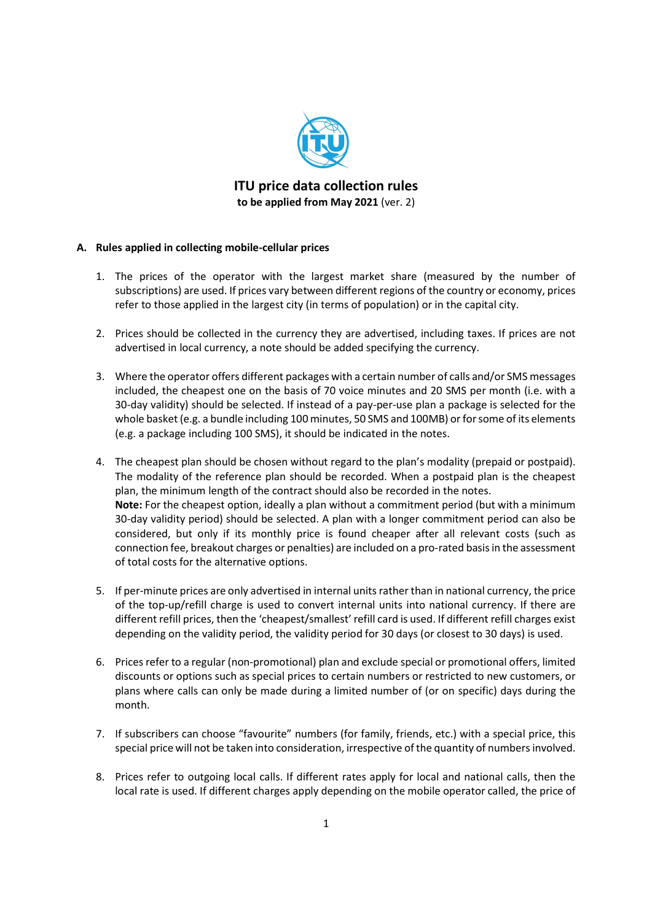

ITU price data collection rules to be applied from May 2021 (ver. 2)

## A. Rules applied in collecting mobile-cellular prices

- 1. The prices of the operator with the largest market share (measured by the number of subscriptions) are used. If prices vary between different regions of the country or economy, prices refer to those applied in the largest city (in terms of population) or in the capital city.
- 2. Prices should be collected in the currency they are advertised, including taxes. If prices are not advertised in local currency, a note should be added specifying the currency.
- 3. Where the operator offers different packages with a certain number of calls and/or SMS messages included, the cheapest one on the basis of 70 voice minutes and 20 SMS per month (i.e. with a 30-day validity) should be selected. If instead of a pay-per-use plan a package is selected for the whole basket (e.g. a bundle including 100 minutes, 50 SMS and 100MB) or for some of its elements (e.g. a package including 100 SMS), it should be indicated in the notes.
- 4. The cheapest plan should be chosen without regard to the plan's modality (prepaid or postpaid). The modality of the reference plan should be recorded. When a postpaid plan is the cheapest plan, the minimum length of the contract should also be recorded in the notes. Note: For the cheapest option, ideally a plan without a commitment period (but with a minimum 30-day validity period) should be selected. A plan with a longer commitment period can also be considered, but only if its monthly price is found cheaper after all relevant costs (such as connection fee, breakout charges or penalties) are included on a pro-rated basis in the assessment of total costs for the alternative options.
- 5. If per-minute prices are only advertised in internal units rather than in national currency, the price of the top-up/refill charge is used to convert internal units into national currency. If there are different refill prices, then the 'cheapest/smallest' refill card is used. If different refill charges exist depending on the validity period, the validity period for 30 days (or closest to 30 days) is used.
- 6. Prices refer to a regular (non-promotional) plan and exclude special or promotional offers, limited discounts or options such as special prices to certain numbers or restricted to new customers, or plans where calls can only be made during a limited number of (or on specific) days during the month.
- 7. If subscribers can choose "favourite" numbers (for family, friends, etc.) with a special price, this special price will not be taken into consideration, irrespective of the quantity of numbers involved.
- 8. Prices refer to outgoing local calls. If different rates apply for local and national calls, then the local rate is used. If different charges apply depending on the mobile operator called, the price of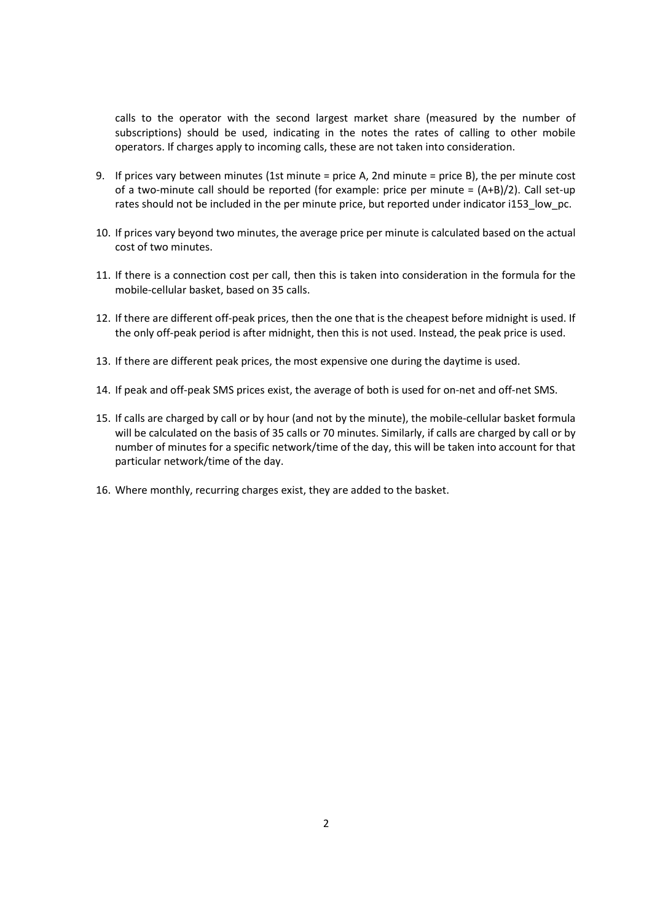calls to the operator with the second largest market share (measured by the number of subscriptions) should be used, indicating in the notes the rates of calling to other mobile operators. If charges apply to incoming calls, these are not taken into consideration.

- 9. If prices vary between minutes (1st minute = price A, 2nd minute = price B), the per minute cost of a two-minute call should be reported (for example: price per minute =  $(A+B)/2$ ). Call set-up rates should not be included in the per minute price, but reported under indicator i153\_low\_pc.
- 10. If prices vary beyond two minutes, the average price per minute is calculated based on the actual cost of two minutes.
- 11. If there is a connection cost per call, then this is taken into consideration in the formula for the mobile-cellular basket, based on 35 calls.
- 12. If there are different off-peak prices, then the one that is the cheapest before midnight is used. If the only off-peak period is after midnight, then this is not used. Instead, the peak price is used.
- 13. If there are different peak prices, the most expensive one during the daytime is used.
- 14. If peak and off-peak SMS prices exist, the average of both is used for on-net and off-net SMS.
- 15. If calls are charged by call or by hour (and not by the minute), the mobile-cellular basket formula will be calculated on the basis of 35 calls or 70 minutes. Similarly, if calls are charged by call or by number of minutes for a specific network/time of the day, this will be taken into account for that particular network/time of the day.
- 16. Where monthly, recurring charges exist, they are added to the basket.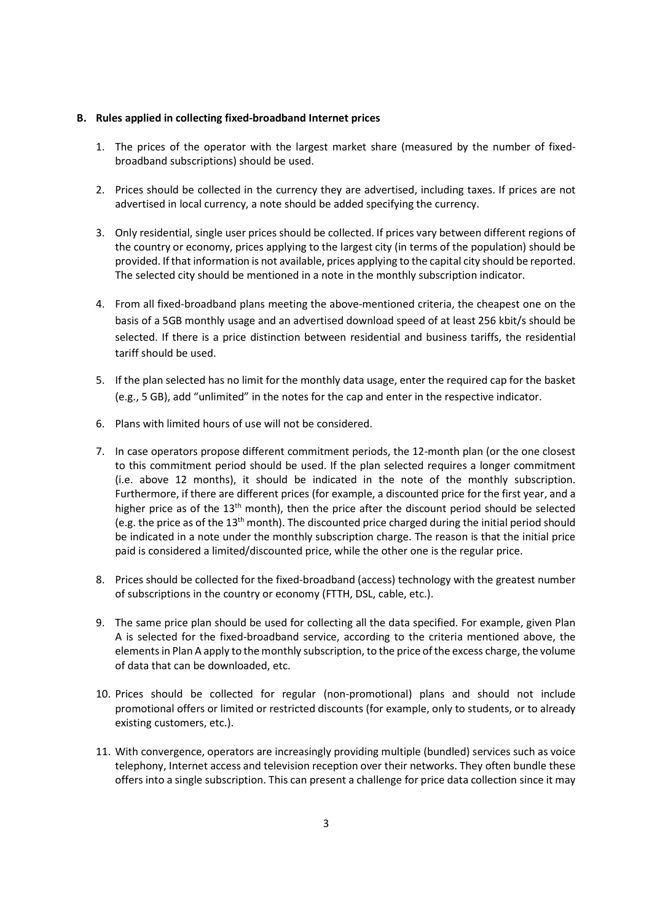#### B. Rules applied in collecting fixed-broadband Internet prices

- 1. The prices of the operator with the largest market share (measured by the number of fixedbroadband subscriptions) should be used.
- 2. Prices should be collected in the currency they are advertised, including taxes. If prices are not advertised in local currency, a note should be added specifying the currency.
- 3. Only residential, single user prices should be collected. If prices vary between different regions of the country or economy, prices applying to the largest city (in terms of the population) should be provided. If that information is not available, prices applying to the capital city should be reported. The selected city should be mentioned in a note in the monthly subscription indicator.
- 4. From all fixed-broadband plans meeting the above-mentioned criteria, the cheapest one on the basis of a 5GB monthly usage and an advertised download speed of at least 256 kbit/s should be selected. If there is a price distinction between residential and business tariffs, the residential tariff should be used.
- 5. If the plan selected has no limit for the monthly data usage, enter the required cap for the basket (e.g., 5 GB), add "unlimited" in the notes for the cap and enter in the respective indicator.
- 6. Plans with limited hours of use will not be considered.
- 7. In case operators propose different commitment periods, the 12-month plan (or the one closest to this commitment period should be used. If the plan selected requires a longer commitment (i.e. above 12 months), it should be indicated in the note of the monthly subscription. Furthermore, if there are different prices (for example, a discounted price for the first year, and a higher price as of the 13<sup>th</sup> month), then the price after the discount period should be selected (e.g. the price as of the  $13<sup>th</sup>$  month). The discounted price charged during the initial period should be indicated in a note under the monthly subscription charge. The reason is that the initial price paid is considered a limited/discounted price, while the other one is the regular price.
- 8. Prices should be collected for the fixed-broadband (access) technology with the greatest number of subscriptions in the country or economy (FTTH, DSL, cable, etc.).
- 9. The same price plan should be used for collecting all the data specified. For example, given Plan A is selected for the fixed-broadband service, according to the criteria mentioned above, the elements in Plan A apply to the monthly subscription, to the price of the excess charge, the volume of data that can be downloaded, etc.
- 10. Prices should be collected for regular (non-promotional) plans and should not include promotional offers or limited or restricted discounts (for example, only to students, or to already existing customers, etc.).
- 11. With convergence, operators are increasingly providing multiple (bundled) services such as voice telephony, Internet access and television reception over their networks. They often bundle these offers into a single subscription. This can present a challenge for price data collection since it may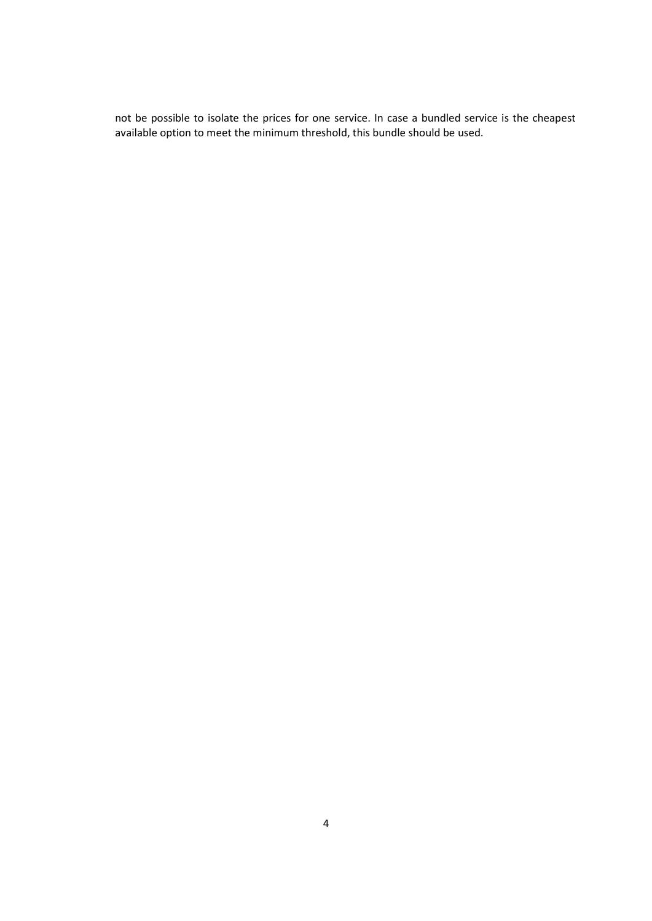not be possible to isolate the prices for one service. In case a bundled service is the cheapest available option to meet the minimum threshold, this bundle should be used.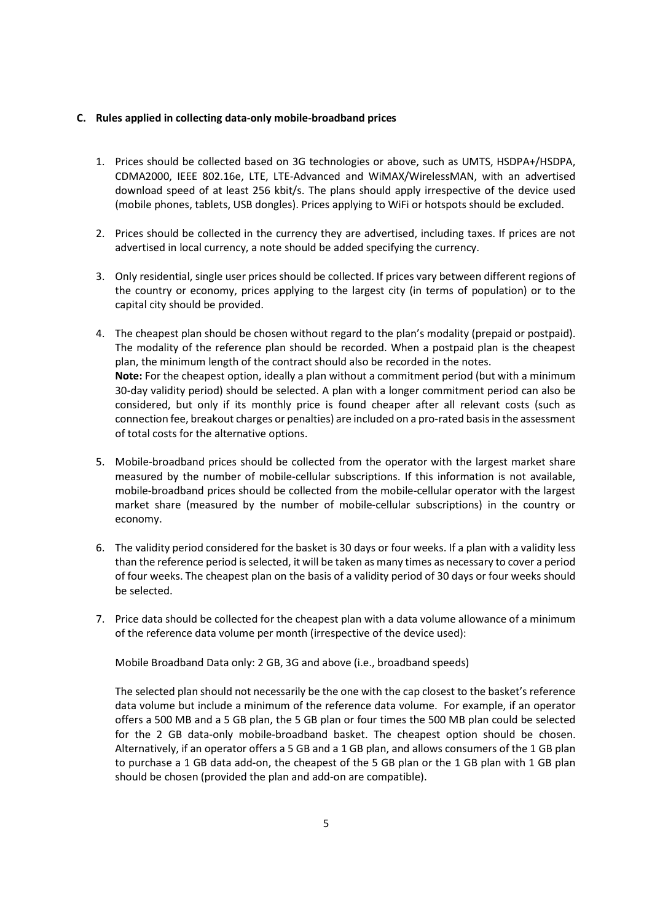## C. Rules applied in collecting data-only mobile-broadband prices

- 1. Prices should be collected based on 3G technologies or above, such as UMTS, HSDPA+/HSDPA, CDMA2000, IEEE 802.16e, LTE, LTE-Advanced and WiMAX/WirelessMAN, with an advertised download speed of at least 256 kbit/s. The plans should apply irrespective of the device used (mobile phones, tablets, USB dongles). Prices applying to WiFi or hotspots should be excluded.
- 2. Prices should be collected in the currency they are advertised, including taxes. If prices are not advertised in local currency, a note should be added specifying the currency.
- 3. Only residential, single user prices should be collected. If prices vary between different regions of the country or economy, prices applying to the largest city (in terms of population) or to the capital city should be provided.
- 4. The cheapest plan should be chosen without regard to the plan's modality (prepaid or postpaid). The modality of the reference plan should be recorded. When a postpaid plan is the cheapest plan, the minimum length of the contract should also be recorded in the notes. Note: For the cheapest option, ideally a plan without a commitment period (but with a minimum 30-day validity period) should be selected. A plan with a longer commitment period can also be considered, but only if its monthly price is found cheaper after all relevant costs (such as connection fee, breakout charges or penalties) are included on a pro-rated basis in the assessment of total costs for the alternative options.
- 5. Mobile-broadband prices should be collected from the operator with the largest market share measured by the number of mobile-cellular subscriptions. If this information is not available, mobile-broadband prices should be collected from the mobile-cellular operator with the largest market share (measured by the number of mobile-cellular subscriptions) in the country or economy.
- 6. The validity period considered for the basket is 30 days or four weeks. If a plan with a validity less than the reference period is selected, it will be taken as many times as necessary to cover a period of four weeks. The cheapest plan on the basis of a validity period of 30 days or four weeks should be selected.
- 7. Price data should be collected for the cheapest plan with a data volume allowance of a minimum of the reference data volume per month (irrespective of the device used):

Mobile Broadband Data only: 2 GB, 3G and above (i.e., broadband speeds)

The selected plan should not necessarily be the one with the cap closest to the basket's reference data volume but include a minimum of the reference data volume. For example, if an operator offers a 500 MB and a 5 GB plan, the 5 GB plan or four times the 500 MB plan could be selected for the 2 GB data-only mobile-broadband basket. The cheapest option should be chosen. Alternatively, if an operator offers a 5 GB and a 1 GB plan, and allows consumers of the 1 GB plan to purchase a 1 GB data add-on, the cheapest of the 5 GB plan or the 1 GB plan with 1 GB plan should be chosen (provided the plan and add-on are compatible).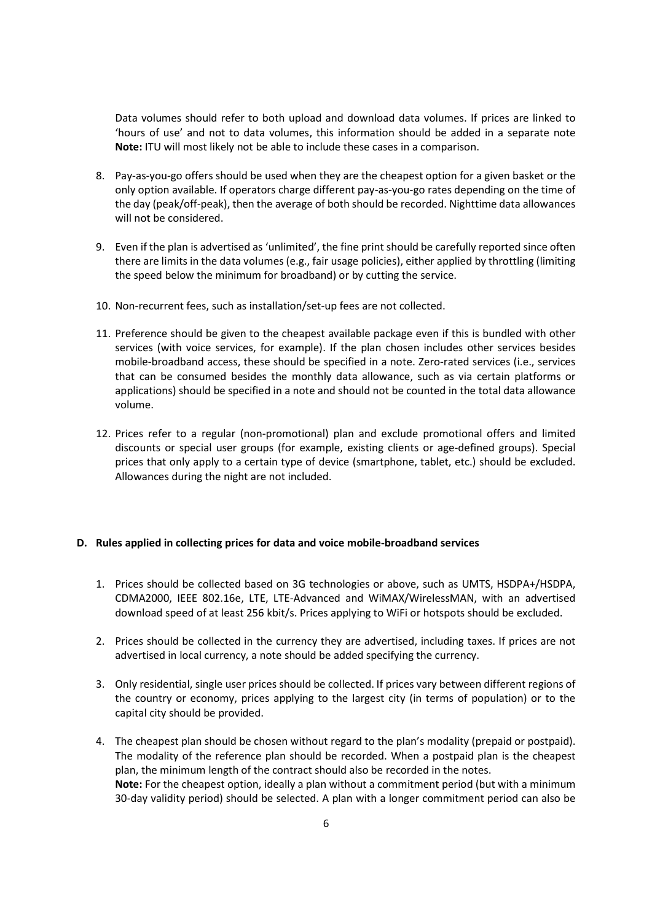Data volumes should refer to both upload and download data volumes. If prices are linked to 'hours of use' and not to data volumes, this information should be added in a separate note Note: ITU will most likely not be able to include these cases in a comparison.

- 8. Pay-as-you-go offers should be used when they are the cheapest option for a given basket or the only option available. If operators charge different pay-as-you-go rates depending on the time of the day (peak/off-peak), then the average of both should be recorded. Nighttime data allowances will not be considered.
- 9. Even if the plan is advertised as 'unlimited', the fine print should be carefully reported since often there are limits in the data volumes (e.g., fair usage policies), either applied by throttling (limiting the speed below the minimum for broadband) or by cutting the service.
- 10. Non-recurrent fees, such as installation/set-up fees are not collected.
- 11. Preference should be given to the cheapest available package even if this is bundled with other services (with voice services, for example). If the plan chosen includes other services besides mobile-broadband access, these should be specified in a note. Zero-rated services (i.e., services that can be consumed besides the monthly data allowance, such as via certain platforms or applications) should be specified in a note and should not be counted in the total data allowance volume.
- 12. Prices refer to a regular (non-promotional) plan and exclude promotional offers and limited discounts or special user groups (for example, existing clients or age-defined groups). Special prices that only apply to a certain type of device (smartphone, tablet, etc.) should be excluded. Allowances during the night are not included.

#### D. Rules applied in collecting prices for data and voice mobile-broadband services

- 1. Prices should be collected based on 3G technologies or above, such as UMTS, HSDPA+/HSDPA, CDMA2000, IEEE 802.16e, LTE, LTE-Advanced and WiMAX/WirelessMAN, with an advertised download speed of at least 256 kbit/s. Prices applying to WiFi or hotspots should be excluded.
- 2. Prices should be collected in the currency they are advertised, including taxes. If prices are not advertised in local currency, a note should be added specifying the currency.
- 3. Only residential, single user prices should be collected. If prices vary between different regions of the country or economy, prices applying to the largest city (in terms of population) or to the capital city should be provided.
- 4. The cheapest plan should be chosen without regard to the plan's modality (prepaid or postpaid). The modality of the reference plan should be recorded. When a postpaid plan is the cheapest plan, the minimum length of the contract should also be recorded in the notes. Note: For the cheapest option, ideally a plan without a commitment period (but with a minimum 30-day validity period) should be selected. A plan with a longer commitment period can also be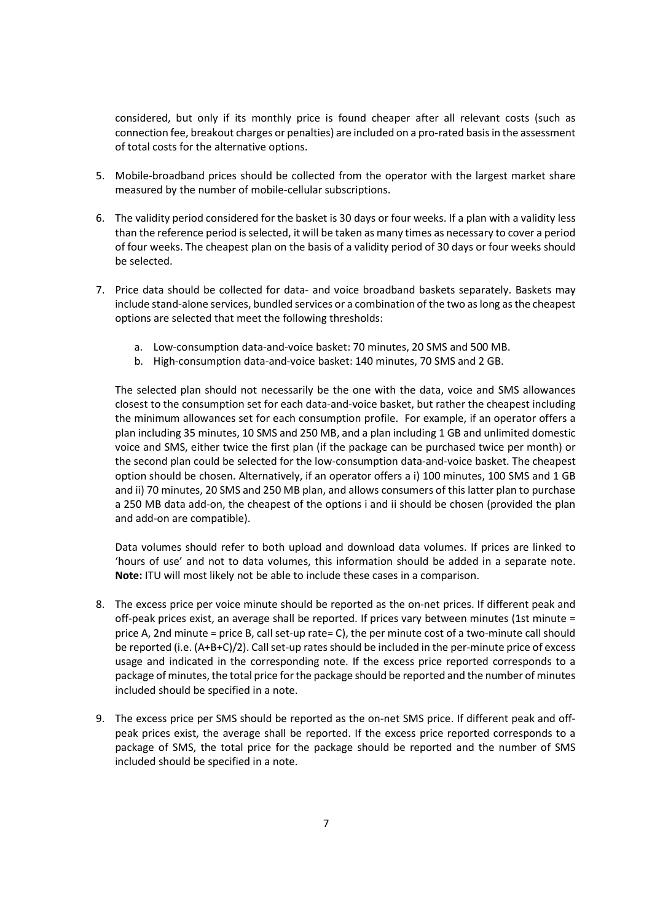considered, but only if its monthly price is found cheaper after all relevant costs (such as connection fee, breakout charges or penalties) are included on a pro-rated basis in the assessment of total costs for the alternative options.

- 5. Mobile-broadband prices should be collected from the operator with the largest market share measured by the number of mobile-cellular subscriptions.
- 6. The validity period considered for the basket is 30 days or four weeks. If a plan with a validity less than the reference period is selected, it will be taken as many times as necessary to cover a period of four weeks. The cheapest plan on the basis of a validity period of 30 days or four weeks should be selected.
- 7. Price data should be collected for data- and voice broadband baskets separately. Baskets may include stand-alone services, bundled services or a combination of the two as long as the cheapest options are selected that meet the following thresholds:
	- a. Low-consumption data-and-voice basket: 70 minutes, 20 SMS and 500 MB.
	- b. High-consumption data-and-voice basket: 140 minutes, 70 SMS and 2 GB.

The selected plan should not necessarily be the one with the data, voice and SMS allowances closest to the consumption set for each data-and-voice basket, but rather the cheapest including the minimum allowances set for each consumption profile. For example, if an operator offers a plan including 35 minutes, 10 SMS and 250 MB, and a plan including 1 GB and unlimited domestic voice and SMS, either twice the first plan (if the package can be purchased twice per month) or the second plan could be selected for the low-consumption data-and-voice basket. The cheapest option should be chosen. Alternatively, if an operator offers a i) 100 minutes, 100 SMS and 1 GB and ii) 70 minutes, 20 SMS and 250 MB plan, and allows consumers of this latter plan to purchase a 250 MB data add-on, the cheapest of the options i and ii should be chosen (provided the plan and add-on are compatible).

Data volumes should refer to both upload and download data volumes. If prices are linked to 'hours of use' and not to data volumes, this information should be added in a separate note. Note: ITU will most likely not be able to include these cases in a comparison.

- 8. The excess price per voice minute should be reported as the on-net prices. If different peak and off-peak prices exist, an average shall be reported. If prices vary between minutes (1st minute = price A, 2nd minute = price B, call set-up rate= C), the per minute cost of a two-minute call should be reported (i.e. (A+B+C)/2). Call set-up rates should be included in the per-minute price of excess usage and indicated in the corresponding note. If the excess price reported corresponds to a package of minutes, the total price for the package should be reported and the number of minutes included should be specified in a note.
- 9. The excess price per SMS should be reported as the on-net SMS price. If different peak and offpeak prices exist, the average shall be reported. If the excess price reported corresponds to a package of SMS, the total price for the package should be reported and the number of SMS included should be specified in a note.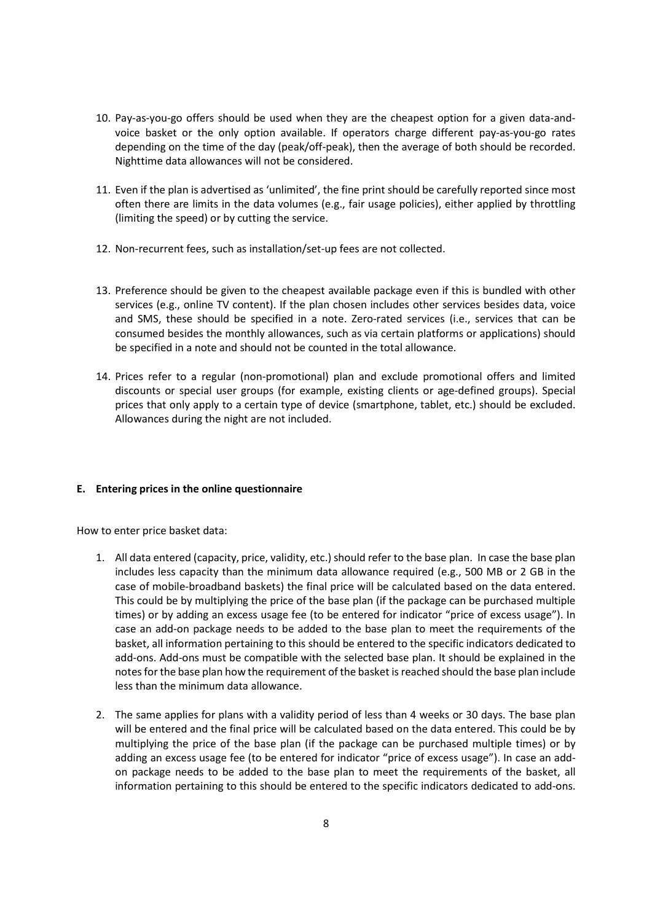- 10. Pay-as-you-go offers should be used when they are the cheapest option for a given data-andvoice basket or the only option available. If operators charge different pay-as-you-go rates depending on the time of the day (peak/off-peak), then the average of both should be recorded. Nighttime data allowances will not be considered.
- 11. Even if the plan is advertised as 'unlimited', the fine print should be carefully reported since most often there are limits in the data volumes (e.g., fair usage policies), either applied by throttling (limiting the speed) or by cutting the service.
- 12. Non-recurrent fees, such as installation/set-up fees are not collected.
- 13. Preference should be given to the cheapest available package even if this is bundled with other services (e.g., online TV content). If the plan chosen includes other services besides data, voice and SMS, these should be specified in a note. Zero-rated services (i.e., services that can be consumed besides the monthly allowances, such as via certain platforms or applications) should be specified in a note and should not be counted in the total allowance.
- 14. Prices refer to a regular (non-promotional) plan and exclude promotional offers and limited discounts or special user groups (for example, existing clients or age-defined groups). Special prices that only apply to a certain type of device (smartphone, tablet, etc.) should be excluded. Allowances during the night are not included.

# E. Entering prices in the online questionnaire

How to enter price basket data:

- 1. All data entered (capacity, price, validity, etc.) should refer to the base plan. In case the base plan includes less capacity than the minimum data allowance required (e.g., 500 MB or 2 GB in the case of mobile-broadband baskets) the final price will be calculated based on the data entered. This could be by multiplying the price of the base plan (if the package can be purchased multiple times) or by adding an excess usage fee (to be entered for indicator "price of excess usage"). In case an add-on package needs to be added to the base plan to meet the requirements of the basket, all information pertaining to this should be entered to the specific indicators dedicated to add-ons. Add-ons must be compatible with the selected base plan. It should be explained in the notes for the base plan how the requirement of the basket is reached should the base plan include less than the minimum data allowance.
- 2. The same applies for plans with a validity period of less than 4 weeks or 30 days. The base plan will be entered and the final price will be calculated based on the data entered. This could be by multiplying the price of the base plan (if the package can be purchased multiple times) or by adding an excess usage fee (to be entered for indicator "price of excess usage"). In case an addon package needs to be added to the base plan to meet the requirements of the basket, all information pertaining to this should be entered to the specific indicators dedicated to add-ons.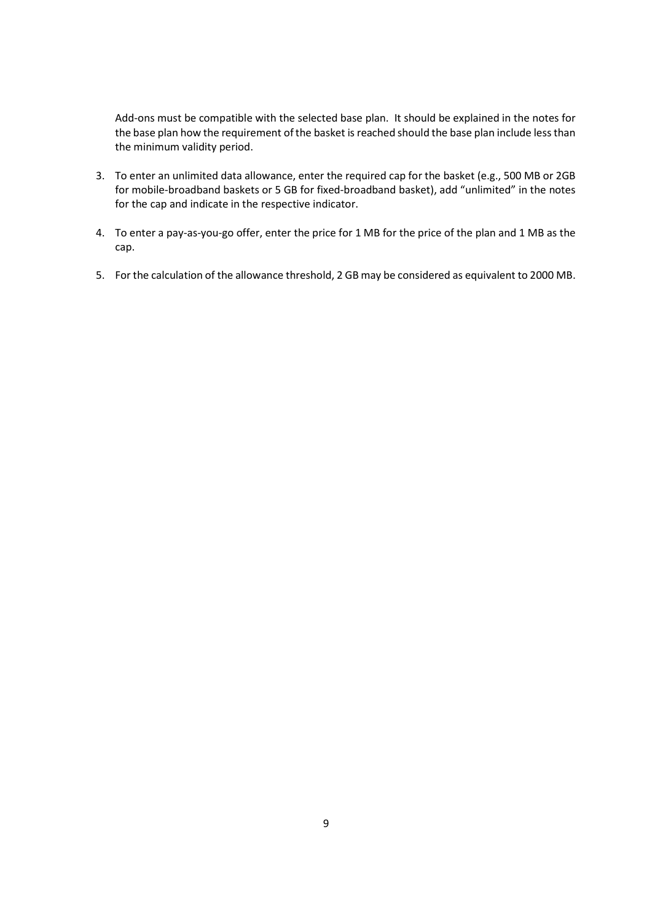Add-ons must be compatible with the selected base plan. It should be explained in the notes for the base plan how the requirement of the basket is reached should the base plan include less than the minimum validity period.

- 3. To enter an unlimited data allowance, enter the required cap for the basket (e.g., 500 MB or 2GB for mobile-broadband baskets or 5 GB for fixed-broadband basket), add "unlimited" in the notes for the cap and indicate in the respective indicator.
- 4. To enter a pay-as-you-go offer, enter the price for 1 MB for the price of the plan and 1 MB as the cap.
- 5. For the calculation of the allowance threshold, 2 GB may be considered as equivalent to 2000 MB.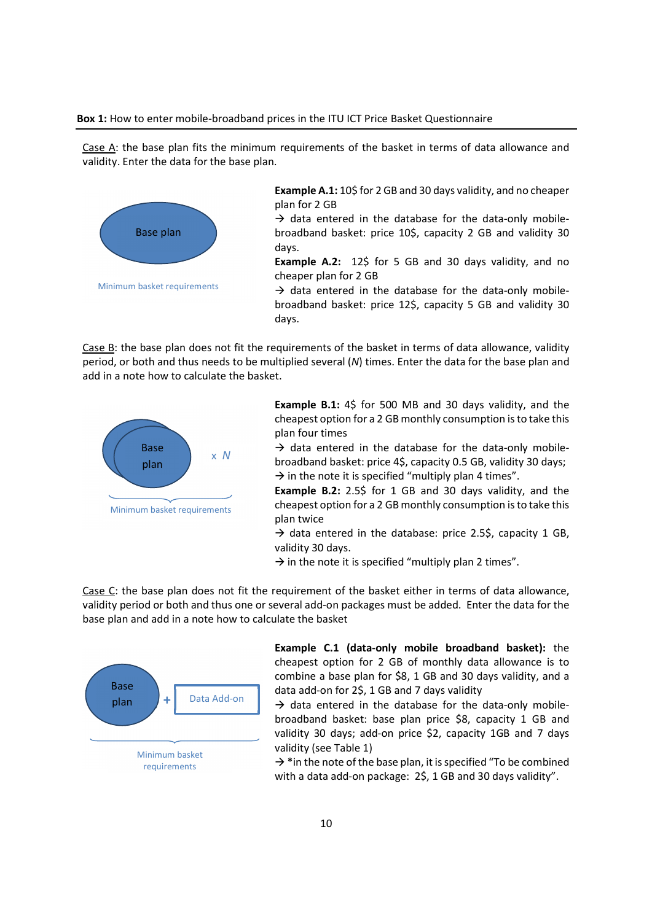#### Box 1: How to enter mobile-broadband prices in the ITU ICT Price Basket Questionnaire

Case A: the base plan fits the minimum requirements of the basket in terms of data allowance and validity. Enter the data for the base plan.



Example A.1: 10\$ for 2 GB and 30 days validity, and no cheaper plan for 2 GB

 $\rightarrow$  data entered in the database for the data-only mobilebroadband basket: price 10\$, capacity 2 GB and validity 30 days.

Example A.2: 12\$ for 5 GB and 30 days validity, and no cheaper plan for 2 GB

 $\rightarrow$  data entered in the database for the data-only mobilebroadband basket: price 12\$, capacity 5 GB and validity 30 days.

Case B: the base plan does not fit the requirements of the basket in terms of data allowance, validity period, or both and thus needs to be multiplied several (N) times. Enter the data for the base plan and add in a note how to calculate the basket.



Example B.1: 4\$ for 500 MB and 30 days validity, and the cheapest option for a 2 GB monthly consumption is to take this plan four times

 $\rightarrow$  data entered in the database for the data-only mobile- $\times N$  broadband basket: price 4\$, capacity 0.5 GB, validity 30 days;  $\rightarrow$  in the note it is specified "multiply plan 4 times".

> Example B.2: 2.5\$ for 1 GB and 30 days validity, and the cheapest option for a 2 GB monthly consumption is to take this plan twice

> $\rightarrow$  data entered in the database: price 2.5\$, capacity 1 GB, validity 30 days.

 $\rightarrow$  in the note it is specified "multiply plan 2 times".

Case C: the base plan does not fit the requirement of the basket either in terms of data allowance, validity period or both and thus one or several add-on packages must be added. Enter the data for the base plan and add in a note how to calculate the basket



Example C.1 (data-only mobile broadband basket): the cheapest option for 2 GB of monthly data allowance is to combine a base plan for \$8, 1 GB and 30 days validity, and a data add-on for 2\$, 1 GB and 7 days validity

 $\rightarrow$  data entered in the database for the data-only mobilebroadband basket: base plan price \$8, capacity 1 GB and validity 30 days; add-on price \$2, capacity 1GB and 7 days validity (see Table 1)

 $\rightarrow$  \*in the note of the base plan, it is specified "To be combined" with a data add-on package: 2\$, 1 GB and 30 days validity".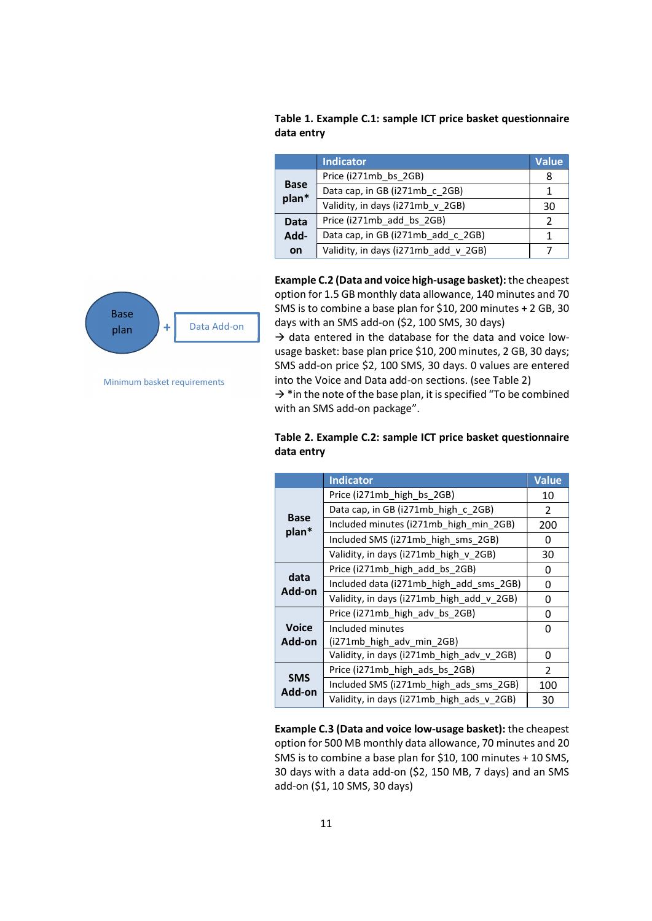Table 1. Example C.1: sample ICT price basket questionnaire data entry

|                      | <b>Indicator</b>                     | <b>Value</b> |
|----------------------|--------------------------------------|--------------|
| <b>Base</b><br>plan* | Price (i271mb bs 2GB)                | 8            |
|                      | Data cap, in GB (i271mb c 2GB)       |              |
|                      | Validity, in days (i271mb v 2GB)     | 30           |
| <b>Data</b>          | Price (i271mb add bs 2GB)            |              |
| Add-                 | Data cap, in GB (i271mb add c 2GB)   |              |
| <b>on</b>            | Validity, in days (i271mb_add v 2GB) |              |



Minimum basket requirements

Example C.2 (Data and voice high-usage basket): the cheapest option for 1.5 GB monthly data allowance, 140 minutes and 70 SMS is to combine a base plan for \$10, 200 minutes + 2 GB, 30 days with an SMS add-on (\$2, 100 SMS, 30 days)

 $\rightarrow$  data entered in the database for the data and voice lowusage basket: base plan price \$10, 200 minutes, 2 GB, 30 days; SMS add-on price \$2, 100 SMS, 30 days. 0 values are entered into the Voice and Data add-on sections. (see Table 2)

 $\rightarrow$  \* in the note of the base plan, it is specified "To be combined with an SMS add-on package".

|                        | <b>Indicator</b>                          | <b>Value</b>   |
|------------------------|-------------------------------------------|----------------|
|                        | Price (i271mb_high_bs_2GB)                | 10             |
|                        | Data cap, in GB (i271mb_high_c_2GB)       | $\mathcal{P}$  |
| <b>Base</b>            | Included minutes (i271mb high min 2GB)    | 200            |
| plan*                  | Included SMS (i271mb high sms 2GB)        | 0              |
|                        | Validity, in days (i271mb high v 2GB)     | 30             |
|                        | Price (i271mb high add bs 2GB)            | 0              |
| data                   | Included data (i271mb high add sms 2GB)   | 0              |
| Add-on                 | Validity, in days (i271mb high add v 2GB) | 0              |
|                        | Price (i271mb high adv bs 2GB)            | $\Omega$       |
| <b>Voice</b><br>Add-on | Included minutes                          | 0              |
|                        | (i271mb high adv min 2GB)                 |                |
|                        | Validity, in days (i271mb high adv v 2GB) | $\Omega$       |
|                        | Price (i271mb high ads bs 2GB)            | $\overline{2}$ |
| <b>SMS</b><br>Add-on   | Included SMS (i271mb_high_ads_sms_2GB)    | 100            |
|                        | Validity, in days (i271mb_high_ads_v_2GB) | 30             |

# Table 2. Example C.2: sample ICT price basket questionnaire data entry

Example C.3 (Data and voice low-usage basket): the cheapest option for 500 MB monthly data allowance, 70 minutes and 20 SMS is to combine a base plan for \$10, 100 minutes + 10 SMS, 30 days with a data add-on (\$2, 150 MB, 7 days) and an SMS add-on (\$1, 10 SMS, 30 days)